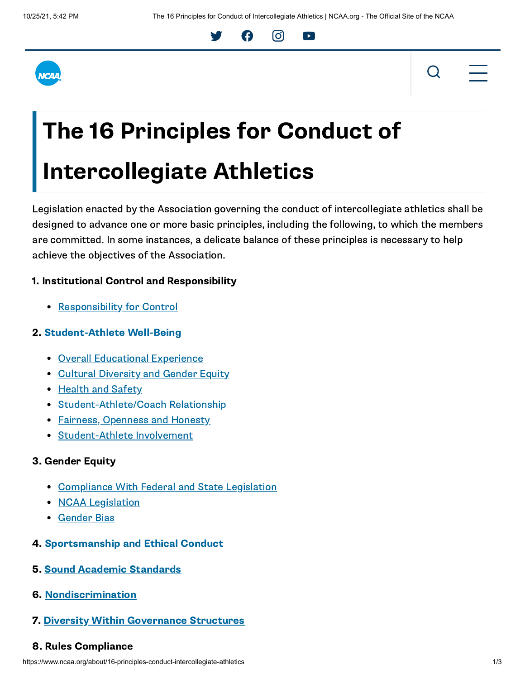



# The 16 Principles for Conduct of Intercollegiate Athletics

Legislation enacted by the Association governing the conduct of intercollegiate athletics shall be designed to advance one or more basic principles, including the following, to which the members are committed. In some instances, a delicate balance of these principles is necessary to help achieve the objectives of the Association.

Y A O D

## 1. Institutional Control and Responsibility

• [Responsibility](http://web1.ncaa.org/LSDBi/exec/bylawSearch?bylawSearchSubmit=Get%20Selected%20Items&multiple=2452&division=1&adopted=0) for Control

### 2. [Student-Athlete](http://web1.ncaa.org/LSDBi/exec/bylawSearch?bylawSearchSubmit=Get%20Selected%20Items&multiple=2453&division=1&adopted=0) Well-Being

- **Overall [Educational](http://web1.ncaa.org/LSDBi/exec/bylawSearch?bylawSearchSubmit=Get%20Selected%20Items&multiple=2454&division=1&adopted=0) Experience**
- Cultural [Diversity](http://web1.ncaa.org/LSDBi/exec/bylawSearch?bylawSearchSubmit=Get%20Selected%20Items&multiple=2455&division=1&adopted=0) and Gender Equity
- [Health](http://web1.ncaa.org/LSDBi/exec/bylawSearch?bylawSearchSubmit=Get%20Selected%20Items&multiple=2456&division=1&adopted=0) and Safety
- [Student-Athlete/Coach](http://web1.ncaa.org/LSDBi/exec/bylawSearch?bylawSearchSubmit=Get%20Selected%20Items&multiple=2457&division=1&adopted=0) Relationship
- Fairness, [Openness](http://web1.ncaa.org/LSDBi/exec/bylawSearch?bylawSearchSubmit=Get%20Selected%20Items&multiple=2458&division=1&adopted=0) and Honesty
- [Student-Athlete](http://web1.ncaa.org/LSDBi/exec/bylawSearch?bylawSearchSubmit=Get%20Selected%20Items&multiple=2459&division=1&adopted=0) Involvement

### 3. Gender Equity

- [Compliance](http://web1.ncaa.org/LSDBi/exec/bylawSearch?bylawSearchSubmit=Get%20Selected%20Items&multiple=2460&division=1&adopted=0) With Federal and State Legislation
- NCAA [Legislation](http://web1.ncaa.org/LSDBi/exec/bylawSearch?bylawSearchSubmit=Get%20Selected%20Items&multiple=2461&division=1&adopted=0)
- **[Gender](http://web1.ncaa.org/LSDBi/exec/bylawSearch?bylawSearchSubmit=Get%20Selected%20Items&multiple=2462&division=1&adopted=0) Bias**
- 4. [Sportsmanship](http://web1.ncaa.org/LSDBi/exec/bylawSearch?bylawSearchSubmit=Get%20Selected%20Items&multiple=2463&division=1&adopted=0) and Ethical Conduct
- 5. Sound Academic [Standards](http://web1.ncaa.org/LSDBi/exec/bylawSearch?bylawSearchSubmit=Get%20Selected%20Items&multiple=2464&division=1&adopted=0)
- 6. [Nondiscrimination](http://web1.ncaa.org/LSDBi/exec/bylawSearch?bylawSearchSubmit=Get%20Selected%20Items&multiple=2465&division=1&adopted=0)
- 7. Diversity [Within Governance](http://web1.ncaa.org/LSDBi/exec/bylawSearch?bylawSearchSubmit=Get%20Selected%20Items&multiple=2466&division=1&adopted=0) Structures

### 8. Rules Compliance